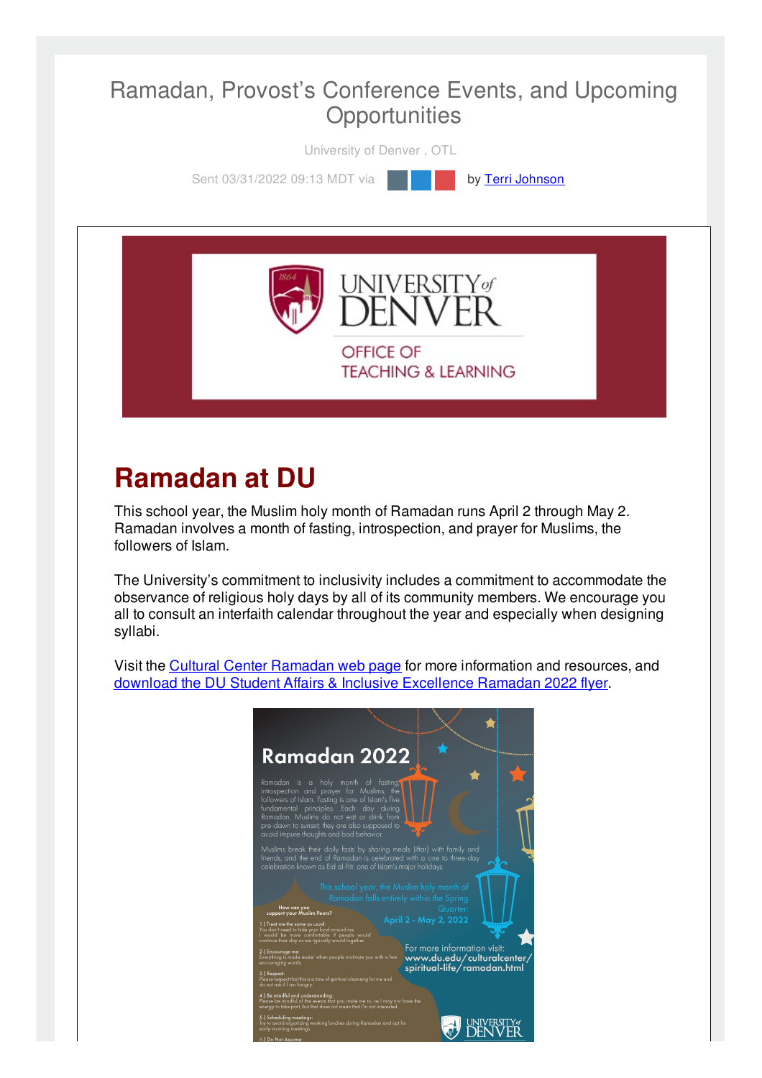#### Ramadan, Provost's Conference Events, and Upcoming **Opportunities**

University of Denver , OTL

Sent 03/31/2022 09:13 MDT via **by Terri [Johnson](file:///networks/du/users/1149646)** 



**TEACHING & LEARNING** 

# **Ramadan at DU**

This school year, the Muslim holy month of Ramadan runs April 2 through May 2. Ramadan involves a month of fasting, introspection, and prayer for Muslims, the followers of Islam.

The University's commitment to inclusivity includes a commitment to accommodate the observance of religious holy days by all of its community members. We encourage you all to consult an interfaith calendar throughout the year and especially when designing syllabi.

Visit the Cultural Center [Ramadan](https://www.du.edu/culturalcenter/spiritual-life/ramadan.html) web page for more information and resources, and download the DU Student Affairs & Inclusive [Excellence](http://otl.du.edu/wp-content/uploads/2022/03/2022-Ramadan-Flyer-Accessible1.pdf) Ramadan 2022 flyer.

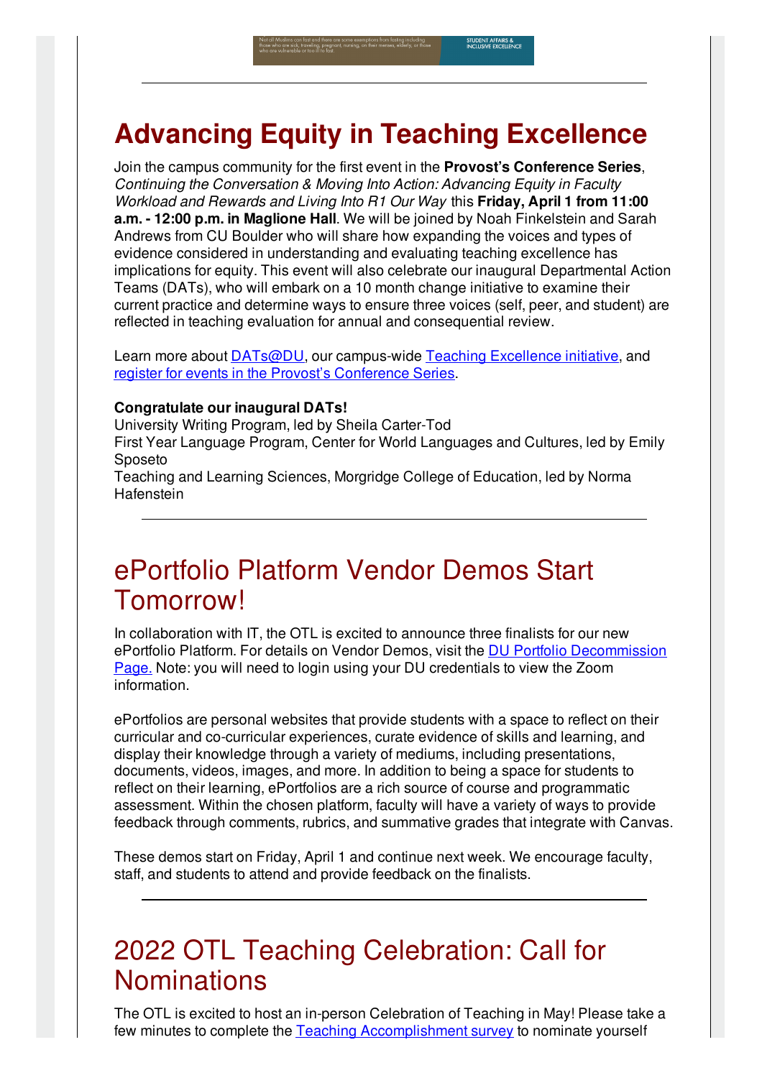## **Advancing Equity in Teaching Excellence**

Join the campus community for the first event in the **Provost's Conference Series**, *Continuing the Conversation & Moving Into Action: Advancing Equity in Faculty Workload and Rewards and Living Into R1 Our Way* this **Friday, April 1 from 11:00 a.m. - 12:00 p.m. in Maglione Hall**. We will be joined by Noah Finkelstein and Sarah Andrews from CU Boulder who will share how expanding the voices and types of evidence considered in understanding and evaluating teaching excellence has implications for equity. This event will also celebrate our inaugural Departmental Action Teams (DATs), who will embark on a 10 month change initiative to examine their current practice and determine ways to ensure three voices (self, peer, and student) are reflected in teaching evaluation for annual and consequential review.

Learn more about **[DATs@DU](https://duvpfa.du.edu/advancing-equity/teaching-excellence/dat-call-for-proposals/)**, our campus-wide Teaching [Excellence](https://duvpfa.du.edu/advancing-equity/teaching-excellence/) initiative, and register for events in the Provost's [Conference](https://duvpfa.du.edu/r1-our-way/provosts-conference-series-2022/) Series.

#### **Congratulate our inaugural DATs!**

University Writing Program, led by Sheila Carter-Tod First Year Language Program, Center for World Languages and Cultures, led by Emily Sposeto

Teaching and Learning Sciences, Morgridge College of Education, led by Norma **Hafenstein** 

#### ePortfolio Platform Vendor Demos Start Tomorrow!

In collaboration with IT, the OTL is excited to announce three finalists for our new ePortfolio Platform. For details on Vendor Demos, visit the DU Portfolio [Decommission](http://portfolio.du.edu/duportfoliodecom) Page[.](http://portfolio.du.edu/duportfoliodecom) Note: you will need to login using your DU credentials to view the Zoom information.

ePortfolios are personal websites that provide students with a space to reflect on their curricular and co-curricular experiences, curate evidence of skills and learning, and display their knowledge through a variety of mediums, including presentations, documents, videos, images, and more. In addition to being a space for students to reflect on their learning, ePortfolios are a rich source of course and programmatic assessment. Within the chosen platform, faculty will have a variety of ways to provide feedback through comments, rubrics, and summative grades that integrate with Canvas.

These demos start on Friday, April 1 and continue next week. We encourage faculty, staff, and students to attend and provide feedback on the finalists.

### 2022 OTL Teaching Celebration: Call for **Nominations**

The OTL is excited to host an in-person Celebration of Teaching in May! Please take a few minutes to complete the Teaching [Accomplishment](https://udenver.qualtrics.com/jfe/form/SV_5vVYJLMBIy9FppI) survey to nominate yourself